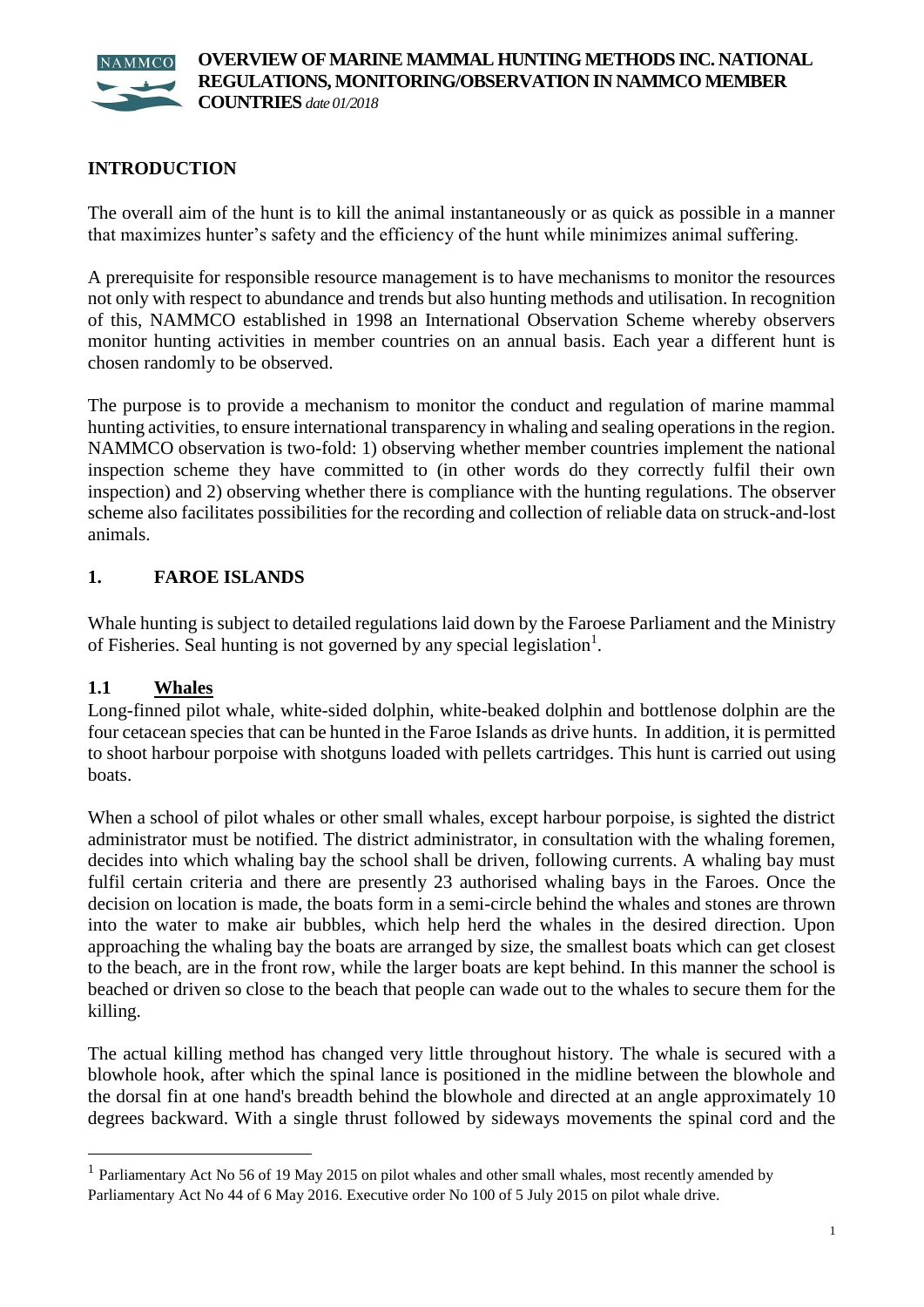

# **INTRODUCTION**

The overall aim of the hunt is to kill the animal instantaneously or as quick as possible in a manner that maximizes hunter's safety and the efficiency of the hunt while minimizes animal suffering.

A prerequisite for responsible resource management is to have mechanisms to monitor the resources not only with respect to abundance and trends but also hunting methods and utilisation. In recognition of this, NAMMCO established in 1998 an International Observation Scheme whereby observers monitor hunting activities in member countries on an annual basis. Each year a different hunt is chosen randomly to be observed.

The purpose is to provide a mechanism to monitor the conduct and regulation of marine mammal hunting activities, to ensure international transparency in whaling and sealing operations in the region. NAMMCO observation is two-fold: 1) observing whether member countries implement the national inspection scheme they have committed to (in other words do they correctly fulfil their own inspection) and 2) observing whether there is compliance with the hunting regulations. The observer scheme also facilitates possibilities for the recording and collection of reliable data on struck-and-lost animals.

# **1. FAROE ISLANDS**

Whale hunting is subject to detailed regulations laid down by the Faroese Parliament and the Ministry of Fisheries. Seal hunting is not governed by any special legislation<sup>1</sup>.

#### **1.1 Whales**

1

Long-finned pilot whale, white-sided dolphin, white-beaked dolphin and bottlenose dolphin are the four cetacean species that can be hunted in the Faroe Islands as drive hunts. In addition, it is permitted to shoot harbour porpoise with shotguns loaded with pellets cartridges. This hunt is carried out using boats.

When a school of pilot whales or other small whales, except harbour porpoise, is sighted the district administrator must be notified. The district administrator, in consultation with the whaling foremen, decides into which whaling bay the school shall be driven, following currents. A whaling bay must fulfil certain criteria and there are presently 23 authorised whaling bays in the Faroes. Once the decision on location is made, the boats form in a semi-circle behind the whales and stones are thrown into the water to make air bubbles, which help herd the whales in the desired direction. Upon approaching the whaling bay the boats are arranged by size, the smallest boats which can get closest to the beach, are in the front row, while the larger boats are kept behind. In this manner the school is beached or driven so close to the beach that people can wade out to the whales to secure them for the killing.

The actual killing method has changed very little throughout history. The whale is secured with a blowhole hook, after which the spinal lance is positioned in the midline between the blowhole and the dorsal fin at one hand's breadth behind the blowhole and directed at an angle approximately 10 degrees backward. With a single thrust followed by sideways movements the spinal cord and the

<sup>&</sup>lt;sup>1</sup> Parliamentary Act No 56 of 19 May 2015 on pilot whales and other small whales, most recently amended by Parliamentary Act No 44 of 6 May 2016. Executive order No 100 of 5 July 2015 on pilot whale drive.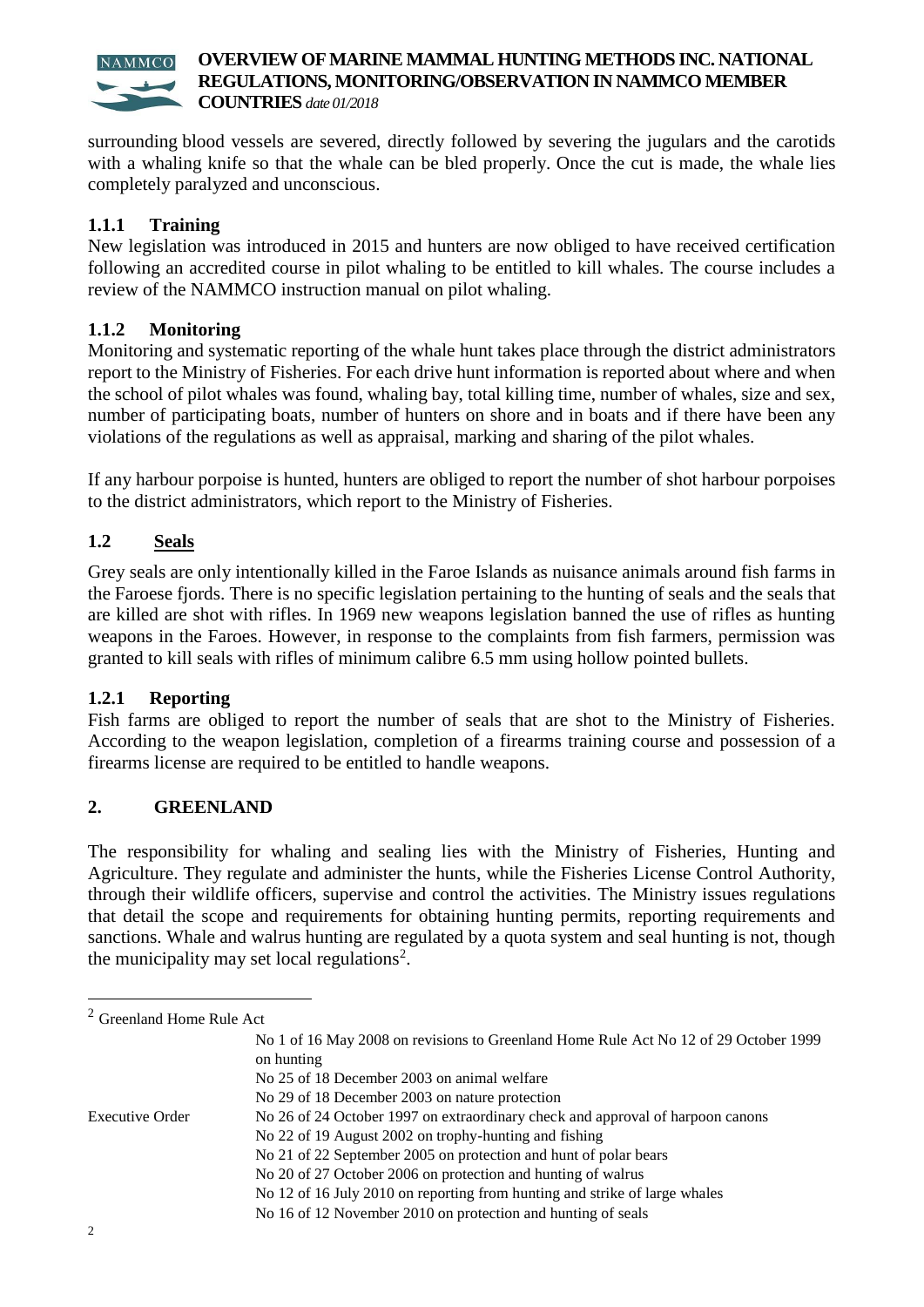

surrounding blood vessels are severed, directly followed by severing the jugulars and the carotids with a whaling knife so that the whale can be bled properly*.* Once the cut is made, the whale lies completely paralyzed and unconscious.

### **1.1.1 Training**

New legislation was introduced in 2015 and hunters are now obliged to have received certification following an accredited course in pilot whaling to be entitled to kill whales. The course includes a review of the NAMMCO instruction manual on pilot whaling.

#### **1.1.2 Monitoring**

Monitoring and systematic reporting of the whale hunt takes place through the district administrators report to the Ministry of Fisheries. For each drive hunt information is reported about where and when the school of pilot whales was found, whaling bay, total killing time, number of whales, size and sex, number of participating boats, number of hunters on shore and in boats and if there have been any violations of the regulations as well as appraisal, marking and sharing of the pilot whales.

If any harbour porpoise is hunted, hunters are obliged to report the number of shot harbour porpoises to the district administrators, which report to the Ministry of Fisheries.

# **1.2 Seals**

Grey seals are only intentionally killed in the Faroe Islands as nuisance animals around fish farms in the Faroese fjords. There is no specific legislation pertaining to the hunting of seals and the seals that are killed are shot with rifles. In 1969 new weapons legislation banned the use of rifles as hunting weapons in the Faroes. However, in response to the complaints from fish farmers, permission was granted to kill seals with rifles of minimum calibre 6.5 mm using hollow pointed bullets.

#### **1.2.1 Reporting**

Fish farms are obliged to report the number of seals that are shot to the Ministry of Fisheries. According to the weapon legislation, completion of a firearms training course and possession of a firearms license are required to be entitled to handle weapons.

#### **2. GREENLAND**

The responsibility for whaling and sealing lies with the Ministry of Fisheries, Hunting and Agriculture. They regulate and administer the hunts, while the Fisheries License Control Authority, through their wildlife officers, supervise and control the activities. The Ministry issues regulations that detail the scope and requirements for obtaining hunting permits, reporting requirements and sanctions. Whale and walrus hunting are regulated by a quota system and seal hunting is not, though the municipality may set local regulations<sup>2</sup>.

| $2$ Greenland Home Rule Act |                                                                                                    |
|-----------------------------|----------------------------------------------------------------------------------------------------|
|                             | No 1 of 16 May 2008 on revisions to Greenland Home Rule Act No 12 of 29 October 1999<br>on hunting |
|                             | No 25 of 18 December 2003 on animal welfare                                                        |
|                             | No 29 of 18 December 2003 on nature protection                                                     |
| Executive Order             | No 26 of 24 October 1997 on extraordinary check and approval of harpoon canons                     |
|                             | No 22 of 19 August 2002 on trophy-hunting and fishing                                              |
|                             | No 21 of 22 September 2005 on protection and hunt of polar bears                                   |
|                             | No 20 of 27 October 2006 on protection and hunting of walrus                                       |
|                             | No 12 of 16 July 2010 on reporting from hunting and strike of large whales                         |
|                             | No 16 of 12 November 2010 on protection and hunting of seals                                       |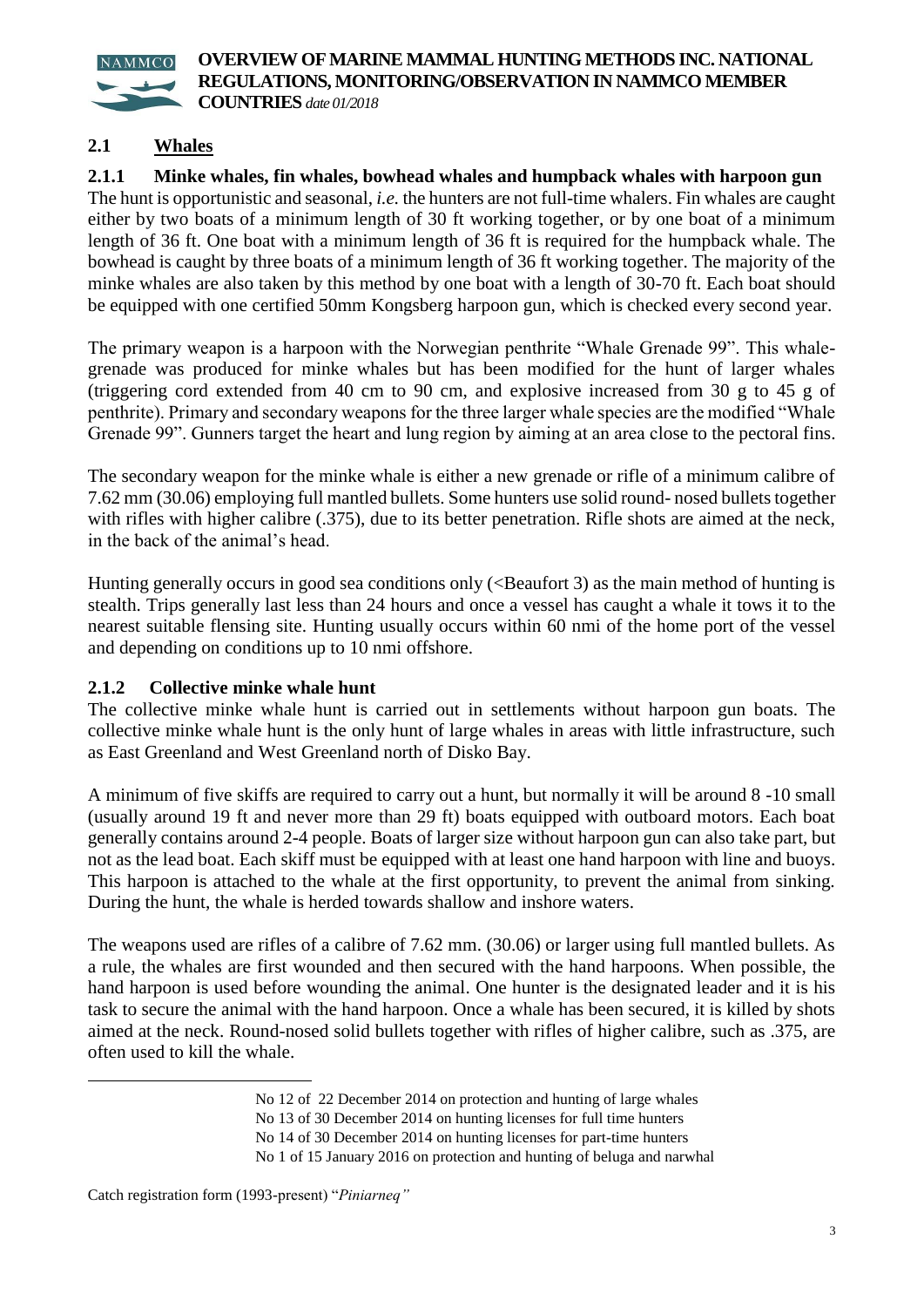

## **2.1 Whales**

**2.1.1 Minke whales, fin whales, bowhead whales and humpback whales with harpoon gun** The hunt is opportunistic and seasonal, *i.e.* the hunters are not full-time whalers. Fin whales are caught either by two boats of a minimum length of 30 ft working together, or by one boat of a minimum length of 36 ft. One boat with a minimum length of 36 ft is required for the humpback whale. The bowhead is caught by three boats of a minimum length of 36 ft working together. The majority of the minke whales are also taken by this method by one boat with a length of 30-70 ft. Each boat should be equipped with one certified 50mm Kongsberg harpoon gun, which is checked every second year.

The primary weapon is a harpoon with the Norwegian penthrite "Whale Grenade 99". This whalegrenade was produced for minke whales but has been modified for the hunt of larger whales (triggering cord extended from 40 cm to 90 cm, and explosive increased from 30 g to 45 g of penthrite). Primary and secondary weapons for the three larger whale species are the modified "Whale Grenade 99". Gunners target the heart and lung region by aiming at an area close to the pectoral fins.

The secondary weapon for the minke whale is either a new grenade or rifle of a minimum calibre of 7.62 mm (30.06) employing full mantled bullets. Some hunters use solid round- nosed bullets together with rifles with higher calibre (.375), due to its better penetration. Rifle shots are aimed at the neck, in the back of the animal's head.

Hunting generally occurs in good sea conditions only (<Beaufort 3) as the main method of hunting is stealth. Trips generally last less than 24 hours and once a vessel has caught a whale it tows it to the nearest suitable flensing site. Hunting usually occurs within 60 nmi of the home port of the vessel and depending on conditions up to 10 nmi offshore.

#### **2.1.2 Collective minke whale hunt**

The collective minke whale hunt is carried out in settlements without harpoon gun boats. The collective minke whale hunt is the only hunt of large whales in areas with little infrastructure, such as East Greenland and West Greenland north of Disko Bay.

A minimum of five skiffs are required to carry out a hunt, but normally it will be around 8 -10 small (usually around 19 ft and never more than 29 ft) boats equipped with outboard motors. Each boat generally contains around 2-4 people. Boats of larger size without harpoon gun can also take part, but not as the lead boat. Each skiff must be equipped with at least one hand harpoon with line and buoys. This harpoon is attached to the whale at the first opportunity, to prevent the animal from sinking. During the hunt, the whale is herded towards shallow and inshore waters.

The weapons used are rifles of a calibre of 7.62 mm. (30.06) or larger using full mantled bullets. As a rule, the whales are first wounded and then secured with the hand harpoons. When possible, the hand harpoon is used before wounding the animal. One hunter is the designated leader and it is his task to secure the animal with the hand harpoon. Once a whale has been secured, it is killed by shots aimed at the neck. Round-nosed solid bullets together with rifles of higher calibre, such as .375, are often used to kill the whale.

1

No 12 of 22 December 2014 on protection and hunting of large whales

No 13 of 30 December 2014 on hunting licenses for full time hunters

No 14 of 30 December 2014 on hunting licenses for part-time hunters

No 1 of 15 January 2016 on protection and hunting of beluga and narwhal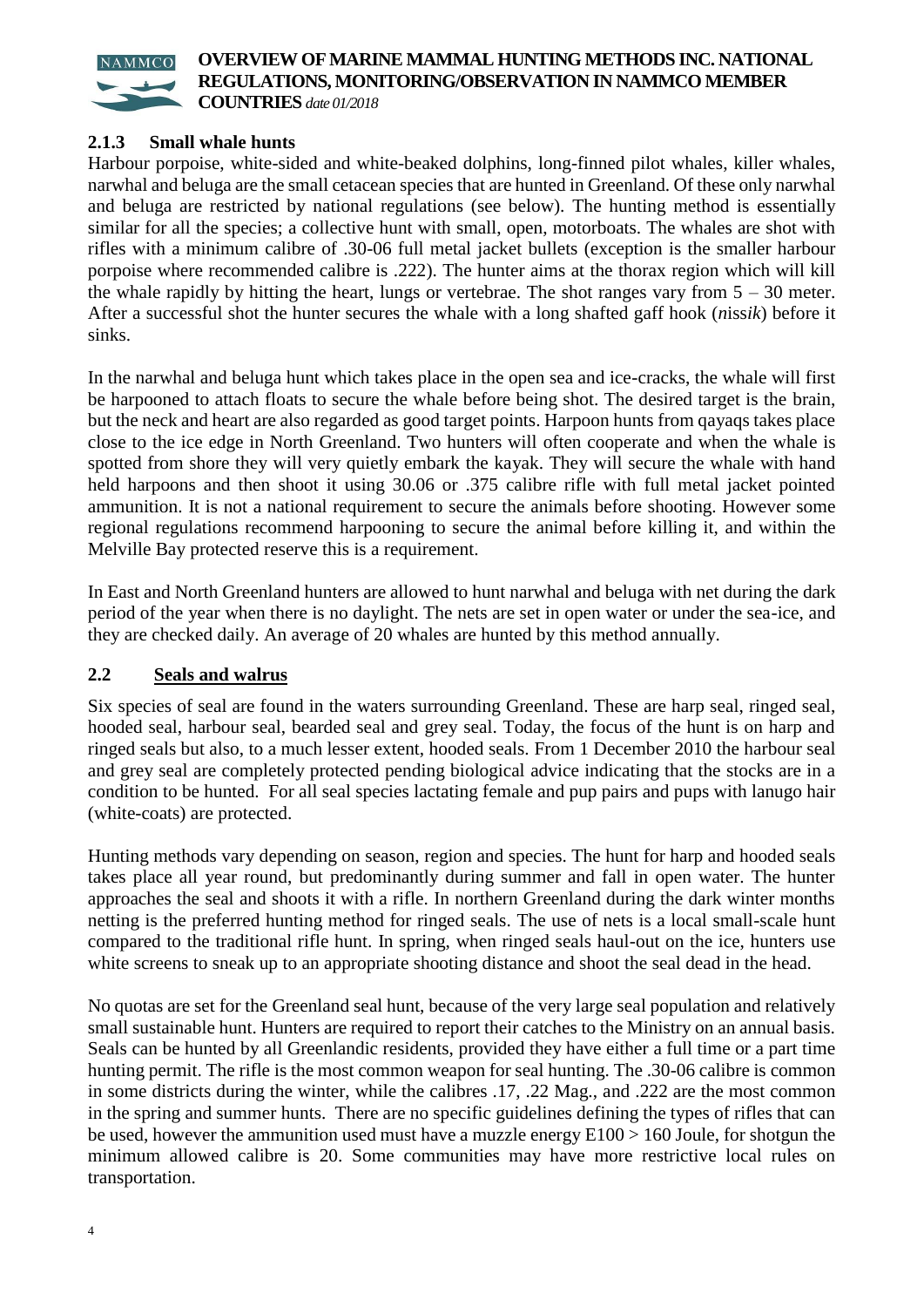

**COUNTRIES** *date 01/2018*

#### **2.1.3 Small whale hunts**

Harbour porpoise, white-sided and white-beaked dolphins, long-finned pilot whales, killer whales, narwhal and beluga are the small cetacean species that are hunted in Greenland. Of these only narwhal and beluga are restricted by national regulations (see below). The hunting method is essentially similar for all the species; a collective hunt with small, open, motorboats. The whales are shot with rifles with a minimum calibre of .30-06 full metal jacket bullets (exception is the smaller harbour porpoise where recommended calibre is .222). The hunter aims at the thorax region which will kill the whale rapidly by hitting the heart, lungs or vertebrae. The shot ranges vary from  $5 - 30$  meter. After a successful shot the hunter secures the whale with a long shafted gaff hook (*n*iss*ik*) before it sinks.

In the narwhal and beluga hunt which takes place in the open sea and ice-cracks, the whale will first be harpooned to attach floats to secure the whale before being shot. The desired target is the brain, but the neck and heart are also regarded as good target points. Harpoon hunts from qayaqs takes place close to the ice edge in North Greenland. Two hunters will often cooperate and when the whale is spotted from shore they will very quietly embark the kayak. They will secure the whale with hand held harpoons and then shoot it using 30.06 or .375 calibre rifle with full metal jacket pointed ammunition. It is not a national requirement to secure the animals before shooting. However some regional regulations recommend harpooning to secure the animal before killing it, and within the Melville Bay protected reserve this is a requirement.

In East and North Greenland hunters are allowed to hunt narwhal and beluga with net during the dark period of the year when there is no daylight. The nets are set in open water or under the sea-ice, and they are checked daily. An average of 20 whales are hunted by this method annually.

#### **2.2 Seals and walrus**

Six species of seal are found in the waters surrounding Greenland. These are harp seal, ringed seal, hooded seal, harbour seal, bearded seal and grey seal. Today, the focus of the hunt is on harp and ringed seals but also, to a much lesser extent, hooded seals. From 1 December 2010 the harbour seal and grey seal are completely protected pending biological advice indicating that the stocks are in a condition to be hunted. For all seal species lactating female and pup pairs and pups with lanugo hair (white-coats) are protected.

Hunting methods vary depending on season, region and species. The hunt for harp and hooded seals takes place all year round, but predominantly during summer and fall in open water. The hunter approaches the seal and shoots it with a rifle. In northern Greenland during the dark winter months netting is the preferred hunting method for ringed seals. The use of nets is a local small-scale hunt compared to the traditional rifle hunt. In spring, when ringed seals haul-out on the ice, hunters use white screens to sneak up to an appropriate shooting distance and shoot the seal dead in the head.

No quotas are set for the Greenland seal hunt, because of the very large seal population and relatively small sustainable hunt. Hunters are required to report their catches to the Ministry on an annual basis. Seals can be hunted by all Greenlandic residents, provided they have either a full time or a part time hunting permit. The rifle is the most common weapon for seal hunting. The .30-06 calibre is common in some districts during the winter, while the calibres .17, .22 Mag., and .222 are the most common in the spring and summer hunts. There are no specific guidelines defining the types of rifles that can be used, however the ammunition used must have a muzzle energy  $E100 > 160$  Joule, for shotgun the minimum allowed calibre is 20. Some communities may have more restrictive local rules on transportation.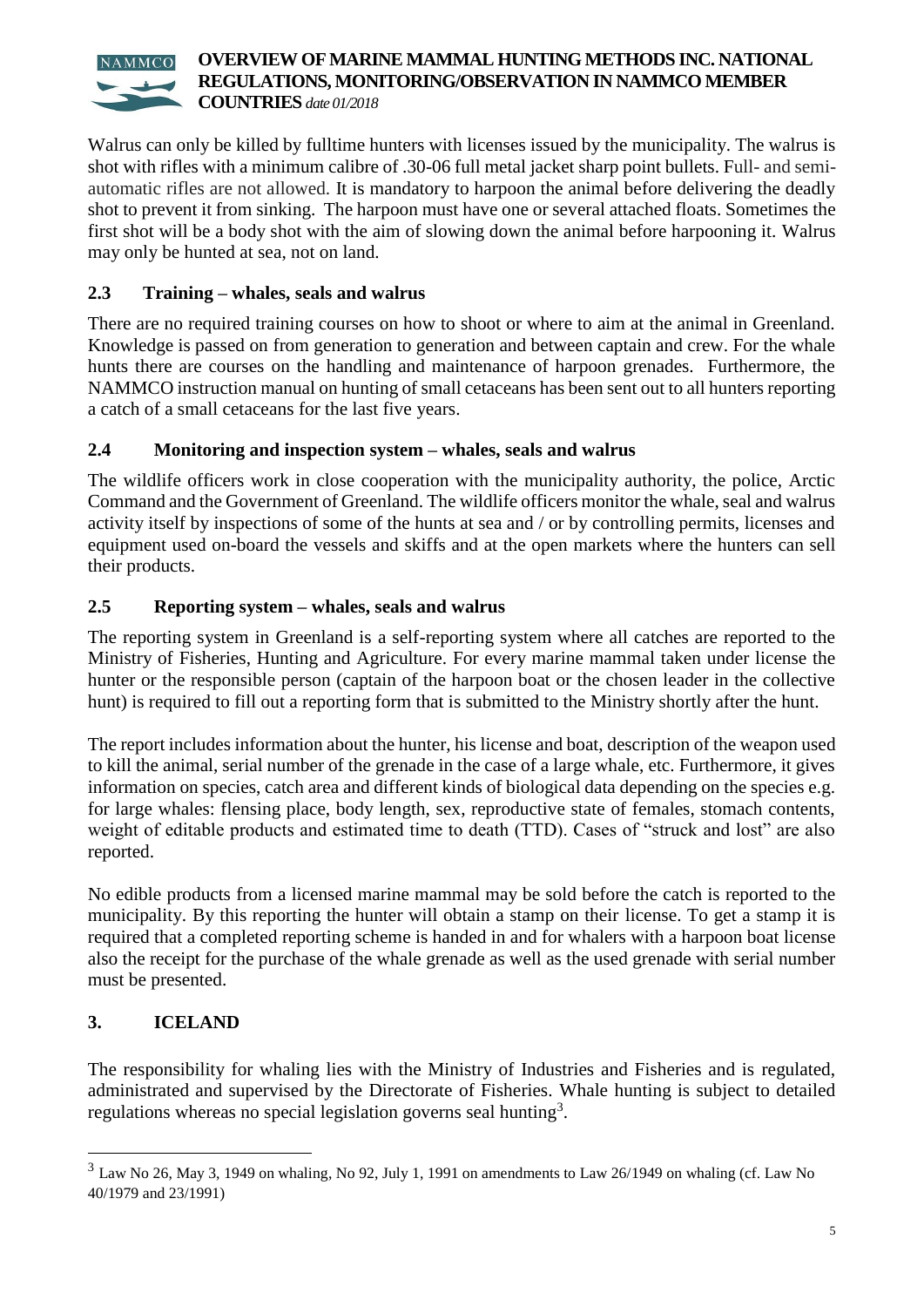Walrus can only be killed by fulltime hunters with licenses issued by the municipality. The walrus is shot with rifles with a minimum calibre of .30-06 full metal jacket sharp point bullets. Full- and semiautomatic rifles are not allowed. It is mandatory to harpoon the animal before delivering the deadly shot to prevent it from sinking. The harpoon must have one or several attached floats. Sometimes the first shot will be a body shot with the aim of slowing down the animal before harpooning it. Walrus may only be hunted at sea, not on land.

# **2.3 Training – whales, seals and walrus**

There are no required training courses on how to shoot or where to aim at the animal in Greenland. Knowledge is passed on from generation to generation and between captain and crew. For the whale hunts there are courses on the handling and maintenance of harpoon grenades. Furthermore, the NAMMCO instruction manual on hunting of small cetaceans has been sent out to all hunters reporting a catch of a small cetaceans for the last five years.

# **2.4 Monitoring and inspection system – whales, seals and walrus**

The wildlife officers work in close cooperation with the municipality authority, the police, Arctic Command and the Government of Greenland. The wildlife officers monitor the whale, seal and walrus activity itself by inspections of some of the hunts at sea and / or by controlling permits, licenses and equipment used on-board the vessels and skiffs and at the open markets where the hunters can sell their products.

# **2.5 Reporting system – whales, seals and walrus**

The reporting system in Greenland is a self-reporting system where all catches are reported to the Ministry of Fisheries, Hunting and Agriculture. For every marine mammal taken under license the hunter or the responsible person (captain of the harpoon boat or the chosen leader in the collective hunt) is required to fill out a reporting form that is submitted to the Ministry shortly after the hunt.

The report includes information about the hunter, his license and boat, description of the weapon used to kill the animal, serial number of the grenade in the case of a large whale, etc. Furthermore, it gives information on species, catch area and different kinds of biological data depending on the species e.g. for large whales: flensing place, body length, sex, reproductive state of females, stomach contents, weight of editable products and estimated time to death (TTD). Cases of "struck and lost" are also reported.

No edible products from a licensed marine mammal may be sold before the catch is reported to the municipality. By this reporting the hunter will obtain a stamp on their license. To get a stamp it is required that a completed reporting scheme is handed in and for whalers with a harpoon boat license also the receipt for the purchase of the whale grenade as well as the used grenade with serial number must be presented.

# **3. ICELAND**

1

The responsibility for whaling lies with the Ministry of Industries and Fisheries and is regulated, administrated and supervised by the Directorate of Fisheries. Whale hunting is subject to detailed regulations whereas no special legislation governs seal hunting<sup>3</sup>.

<sup>3</sup> Law No 26, May 3, 1949 on whaling, No 92, July 1, 1991 on amendments to Law 26/1949 on whaling (cf. Law No 40/1979 and 23/1991)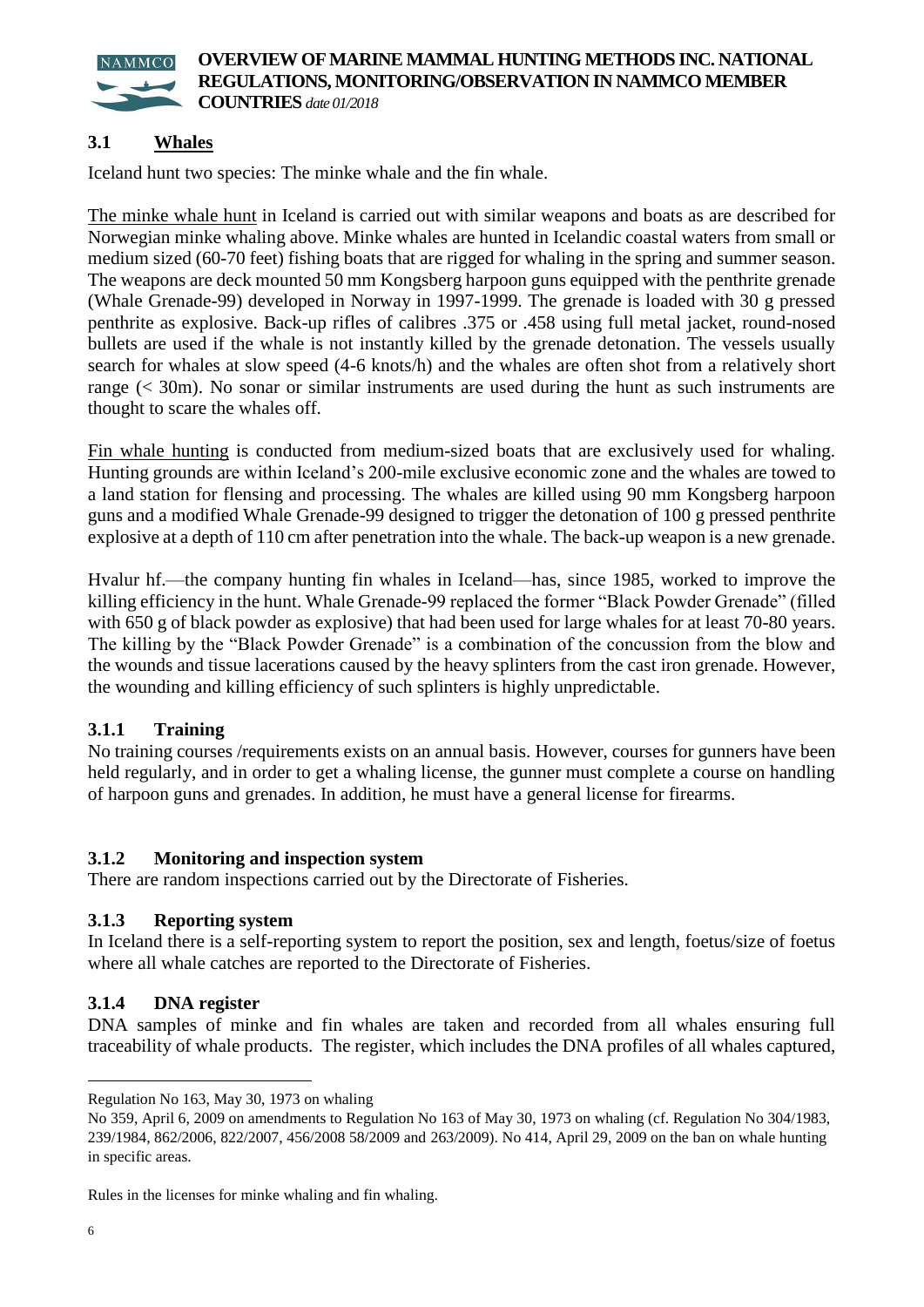

# **3.1 Whales**

Iceland hunt two species: The minke whale and the fin whale.

The minke whale hunt in Iceland is carried out with similar weapons and boats as are described for Norwegian minke whaling above. Minke whales are hunted in Icelandic coastal waters from small or medium sized (60-70 feet) fishing boats that are rigged for whaling in the spring and summer season. The weapons are deck mounted 50 mm Kongsberg harpoon guns equipped with the penthrite grenade (Whale Grenade-99) developed in Norway in 1997-1999. The grenade is loaded with 30 g pressed penthrite as explosive. Back-up rifles of calibres .375 or .458 using full metal jacket, round-nosed bullets are used if the whale is not instantly killed by the grenade detonation. The vessels usually search for whales at slow speed (4-6 knots/h) and the whales are often shot from a relatively short range (< 30m). No sonar or similar instruments are used during the hunt as such instruments are thought to scare the whales off.

Fin whale hunting is conducted from medium-sized boats that are exclusively used for whaling. Hunting grounds are within Iceland's 200-mile exclusive economic zone and the whales are towed to a land station for flensing and processing. The whales are killed using 90 mm Kongsberg harpoon guns and a modified Whale Grenade-99 designed to trigger the detonation of 100 g pressed penthrite explosive at a depth of 110 cm after penetration into the whale. The back-up weapon is a new grenade.

Hvalur hf.—the company hunting fin whales in Iceland—has, since 1985, worked to improve the killing efficiency in the hunt. Whale Grenade-99 replaced the former "Black Powder Grenade" (filled with 650 g of black powder as explosive) that had been used for large whales for at least 70-80 years. The killing by the "Black Powder Grenade" is a combination of the concussion from the blow and the wounds and tissue lacerations caused by the heavy splinters from the cast iron grenade. However, the wounding and killing efficiency of such splinters is highly unpredictable.

#### **3.1.1 Training**

No training courses /requirements exists on an annual basis. However, courses for gunners have been held regularly, and in order to get a whaling license, the gunner must complete a course on handling of harpoon guns and grenades. In addition, he must have a general license for firearms.

#### **3.1.2 Monitoring and inspection system**

There are random inspections carried out by the Directorate of Fisheries.

#### **3.1.3 Reporting system**

In Iceland there is a self-reporting system to report the position, sex and length, foetus/size of foetus where all whale catches are reported to the Directorate of Fisheries.

#### **3.1.4 DNA register**

DNA samples of minke and fin whales are taken and recorded from all whales ensuring full traceability of whale products. The register, which includes the DNA profiles of all whales captured,

1

Regulation No 163, May 30, 1973 on whaling

No 359, April 6, 2009 on amendments to Regulation No 163 of May 30, 1973 on whaling (cf. Regulation No 304/1983, 239/1984, 862/2006, 822/2007, 456/2008 58/2009 and 263/2009). No 414, April 29, 2009 on the ban on whale hunting in specific areas.

Rules in the licenses for minke whaling and fin whaling.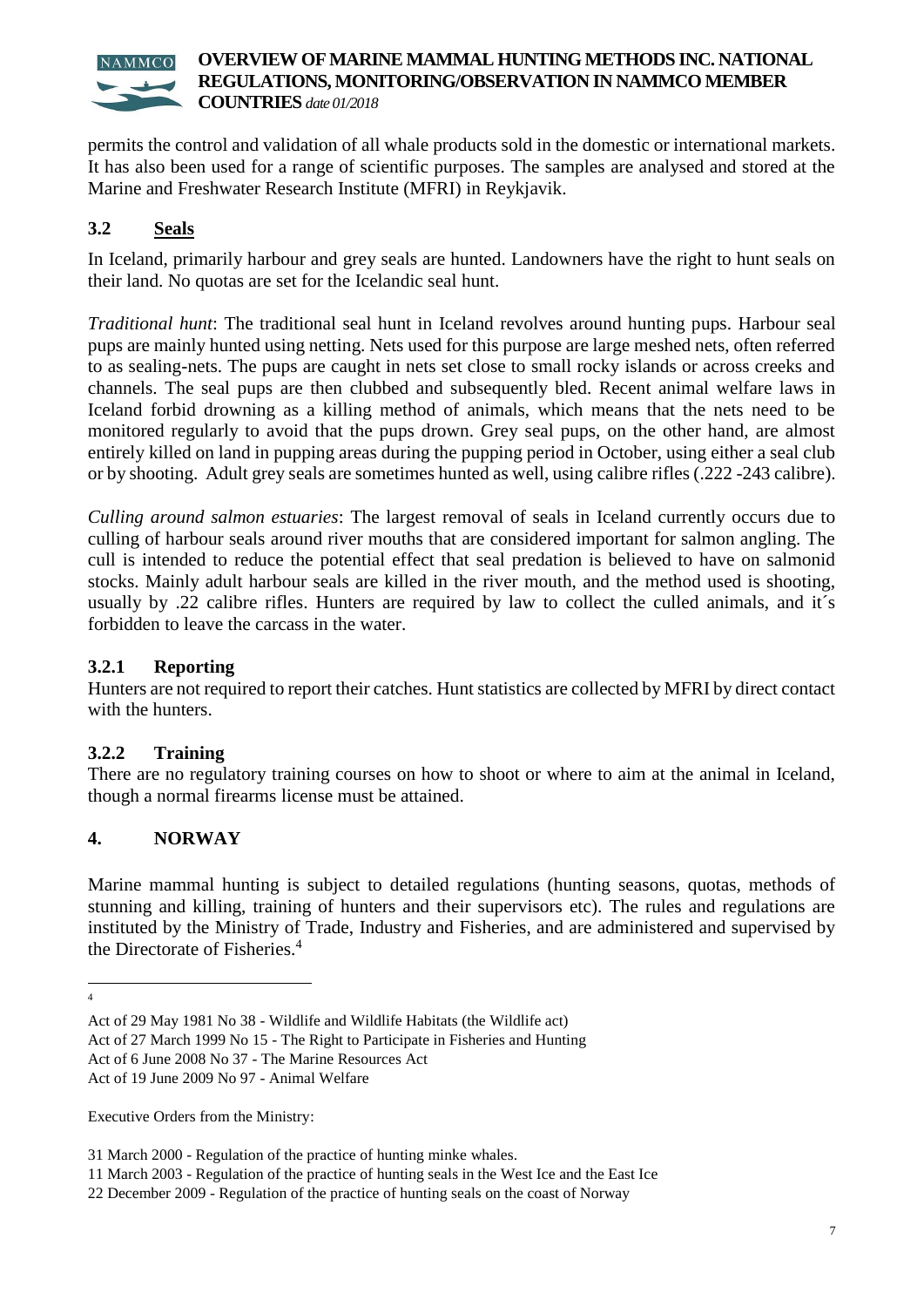permits the control and validation of all whale products sold in the domestic or international markets. It has also been used for a range of scientific purposes. The samples are analysed and stored at the Marine and Freshwater Research Institute (MFRI) in Reykjavik.

# **3.2 Seals**

In Iceland, primarily harbour and grey seals are hunted. Landowners have the right to hunt seals on their land. No quotas are set for the Icelandic seal hunt.

*Traditional hunt*: The traditional seal hunt in Iceland revolves around hunting pups. Harbour seal pups are mainly hunted using netting. Nets used for this purpose are large meshed nets, often referred to as sealing-nets. The pups are caught in nets set close to small rocky islands or across creeks and channels. The seal pups are then clubbed and subsequently bled. Recent animal welfare laws in Iceland forbid drowning as a killing method of animals, which means that the nets need to be monitored regularly to avoid that the pups drown. Grey seal pups, on the other hand, are almost entirely killed on land in pupping areas during the pupping period in October, using either a seal club or by shooting. Adult grey seals are sometimes hunted as well, using calibre rifles (.222 -243 calibre).

*Culling around salmon estuaries*: The largest removal of seals in Iceland currently occurs due to culling of harbour seals around river mouths that are considered important for salmon angling. The cull is intended to reduce the potential effect that seal predation is believed to have on salmonid stocks. Mainly adult harbour seals are killed in the river mouth, and the method used is shooting, usually by .22 calibre rifles. Hunters are required by law to collect the culled animals, and it's forbidden to leave the carcass in the water.

#### **3.2.1 Reporting**

Hunters are not required to report their catches. Hunt statistics are collected by MFRI by direct contact with the hunters.

# **3.2.2 Training**

There are no regulatory training courses on how to shoot or where to aim at the animal in Iceland, though a normal firearms license must be attained.

# **4. NORWAY**

Marine mammal hunting is subject to detailed regulations (hunting seasons, quotas, methods of stunning and killing, training of hunters and their supervisors etc). The rules and regulations are instituted by the Ministry of Trade, Industry and Fisheries, and are administered and supervised by the Directorate of Fisheries.<sup>4</sup>

Executive Orders from the Ministry:

 $\frac{1}{4}$ 

Act of 29 May 1981 No 38 - Wildlife and Wildlife Habitats (the Wildlife act)

Act of 27 March 1999 No 15 - The Right to Participate in Fisheries and Hunting

Act of 6 June 2008 No 37 - The Marine Resources Act

Act of 19 June 2009 No 97 - Animal Welfare

<sup>31</sup> March 2000 - Regulation of the practice of hunting minke whales.

<sup>11</sup> March 2003 - Regulation of the practice of hunting seals in the West Ice and the East Ice

<sup>22</sup> December 2009 - Regulation of the practice of hunting seals on the coast of Norway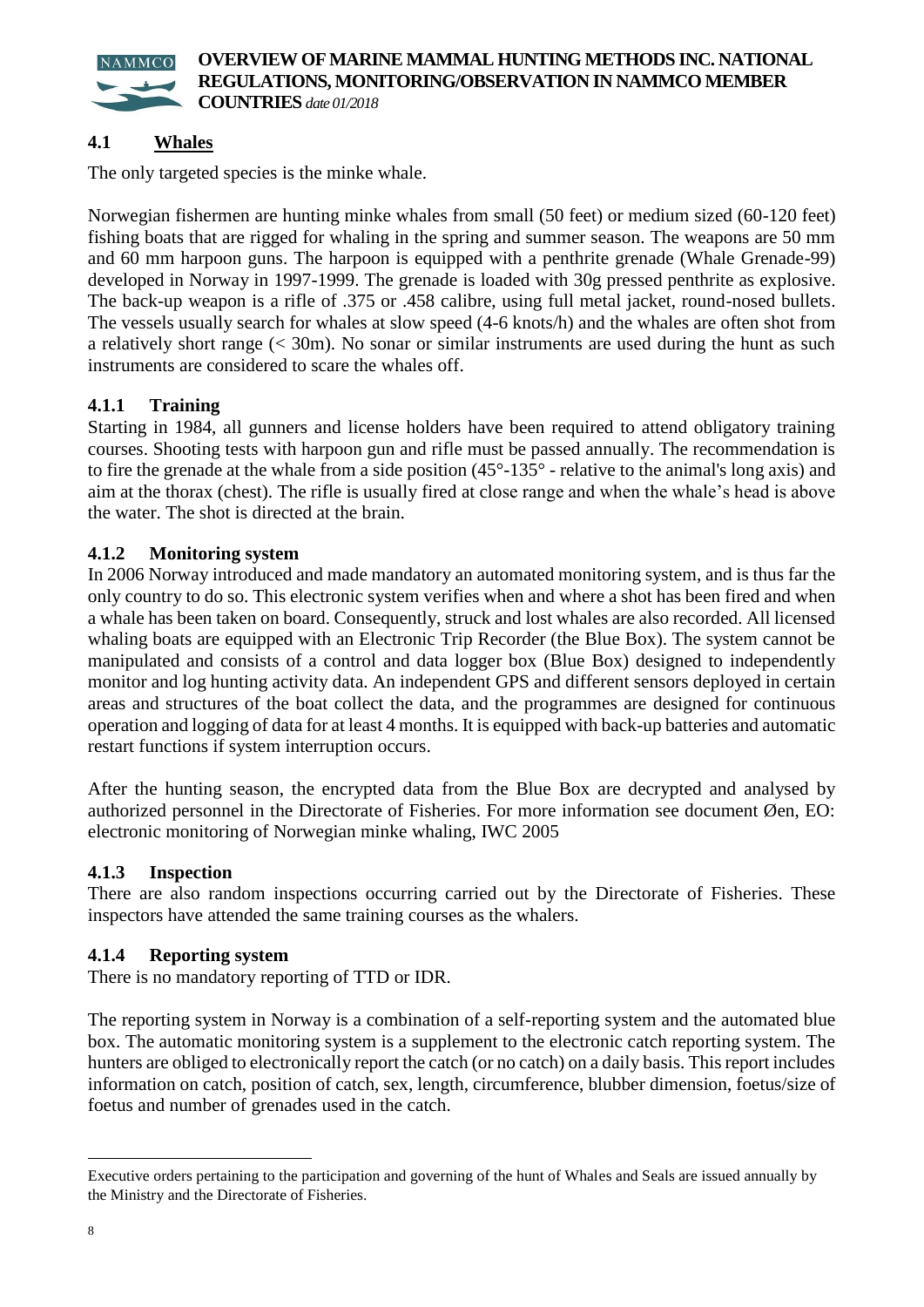

# **4.1 Whales**

The only targeted species is the minke whale.

Norwegian fishermen are hunting minke whales from small (50 feet) or medium sized (60-120 feet) fishing boats that are rigged for whaling in the spring and summer season. The weapons are 50 mm and 60 mm harpoon guns. The harpoon is equipped with a penthrite grenade (Whale Grenade-99) developed in Norway in 1997-1999. The grenade is loaded with 30g pressed penthrite as explosive. The back-up weapon is a rifle of .375 or .458 calibre, using full metal jacket, round-nosed bullets. The vessels usually search for whales at slow speed (4-6 knots/h) and the whales are often shot from a relatively short range (< 30m). No sonar or similar instruments are used during the hunt as such instruments are considered to scare the whales off.

#### **4.1.1 Training**

Starting in 1984, all gunners and license holders have been required to attend obligatory training courses. Shooting tests with harpoon gun and rifle must be passed annually. The recommendation is to fire the grenade at the whale from a side position (45°-135° - relative to the animal's long axis) and aim at the thorax (chest). The rifle is usually fired at close range and when the whale's head is above the water. The shot is directed at the brain.

#### **4.1.2 Monitoring system**

In 2006 Norway introduced and made mandatory an automated monitoring system, and is thus far the only country to do so. This electronic system verifies when and where a shot has been fired and when a whale has been taken on board. Consequently, struck and lost whales are also recorded. All licensed whaling boats are equipped with an Electronic Trip Recorder (the Blue Box). The system cannot be manipulated and consists of a control and data logger box (Blue Box) designed to independently monitor and log hunting activity data. An independent GPS and different sensors deployed in certain areas and structures of the boat collect the data, and the programmes are designed for continuous operation and logging of data for at least 4 months. It is equipped with back-up batteries and automatic restart functions if system interruption occurs.

After the hunting season, the encrypted data from the Blue Box are decrypted and analysed by authorized personnel in the Directorate of Fisheries. For more information see document Øen, EO: electronic monitoring of Norwegian minke whaling, IWC 2005

#### **4.1.3 Inspection**

There are also random inspections occurring carried out by the Directorate of Fisheries. These inspectors have attended the same training courses as the whalers.

#### **4.1.4 Reporting system**

There is no mandatory reporting of TTD or IDR.

The reporting system in Norway is a combination of a self-reporting system and the automated blue box. The automatic monitoring system is a supplement to the electronic catch reporting system. The hunters are obliged to electronically report the catch (or no catch) on a daily basis. This report includes information on catch, position of catch, sex, length, circumference, blubber dimension, foetus/size of foetus and number of grenades used in the catch.

<u>.</u>

Executive orders pertaining to the participation and governing of the hunt of Whales and Seals are issued annually by the Ministry and the Directorate of Fisheries.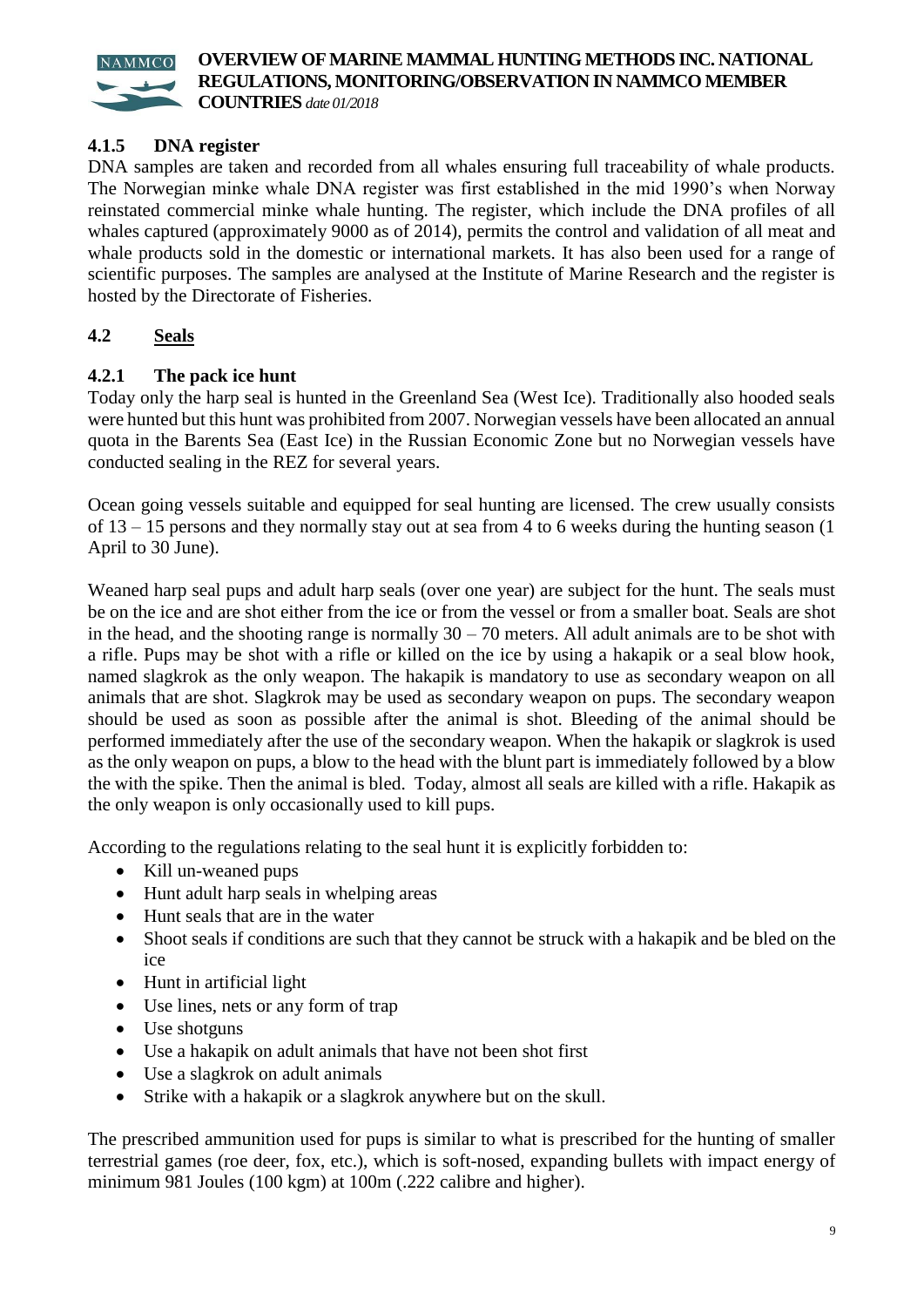

**COUNTRIES** *date 01/2018*

# **4.1.5 DNA register**

DNA samples are taken and recorded from all whales ensuring full traceability of whale products. The Norwegian minke whale DNA register was first established in the mid 1990's when Norway reinstated commercial minke whale hunting. The register, which include the DNA profiles of all whales captured (approximately 9000 as of 2014), permits the control and validation of all meat and whale products sold in the domestic or international markets. It has also been used for a range of scientific purposes. The samples are analysed at the Institute of Marine Research and the register is hosted by the Directorate of Fisheries.

# **4.2 Seals**

# **4.2.1 The pack ice hunt**

Today only the harp seal is hunted in the Greenland Sea (West Ice). Traditionally also hooded seals were hunted but this hunt was prohibited from 2007. Norwegian vessels have been allocated an annual quota in the Barents Sea (East Ice) in the Russian Economic Zone but no Norwegian vessels have conducted sealing in the REZ for several years.

Ocean going vessels suitable and equipped for seal hunting are licensed. The crew usually consists of 13 – 15 persons and they normally stay out at sea from 4 to 6 weeks during the hunting season (1 April to 30 June).

Weaned harp seal pups and adult harp seals (over one year) are subject for the hunt. The seals must be on the ice and are shot either from the ice or from the vessel or from a smaller boat. Seals are shot in the head, and the shooting range is normally  $30 - 70$  meters. All adult animals are to be shot with a rifle. Pups may be shot with a rifle or killed on the ice by using a hakapik or a seal blow hook, named slagkrok as the only weapon. The hakapik is mandatory to use as secondary weapon on all animals that are shot. Slagkrok may be used as secondary weapon on pups. The secondary weapon should be used as soon as possible after the animal is shot. Bleeding of the animal should be performed immediately after the use of the secondary weapon. When the hakapik or slagkrok is used as the only weapon on pups, a blow to the head with the blunt part is immediately followed by a blow the with the spike. Then the animal is bled. Today, almost all seals are killed with a rifle. Hakapik as the only weapon is only occasionally used to kill pups.

According to the regulations relating to the seal hunt it is explicitly forbidden to:

- Kill un-weaned pups
- Hunt adult harp seals in whelping areas
- Hunt seals that are in the water
- Shoot seals if conditions are such that they cannot be struck with a hakapik and be bled on the ice
- Hunt in artificial light
- Use lines, nets or any form of trap
- Use shotguns
- Use a hakapik on adult animals that have not been shot first
- Use a slagkrok on adult animals
- Strike with a hakapik or a slagkrok anywhere but on the skull.

The prescribed ammunition used for pups is similar to what is prescribed for the hunting of smaller terrestrial games (roe deer, fox, etc.), which is soft-nosed, expanding bullets with impact energy of minimum 981 Joules (100 kgm) at 100m (.222 calibre and higher).